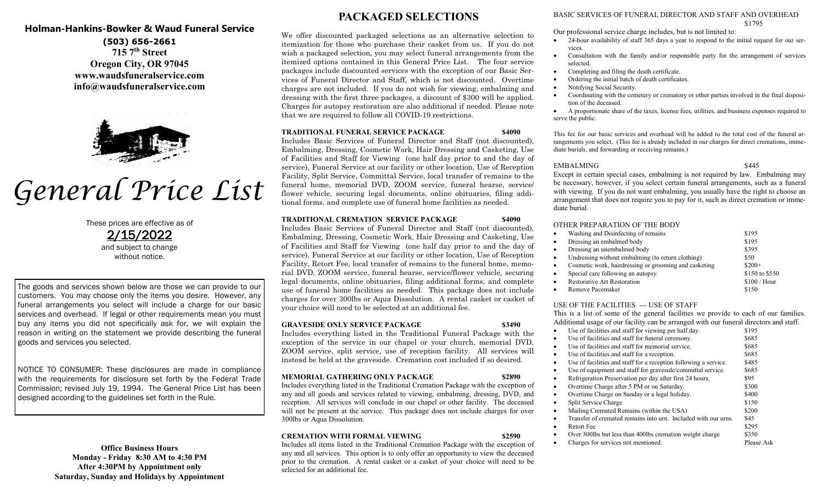# **Holman-Hankins-Bowker & Waud Funeral Service**

**(503) 656-2661 715 7th Street Oregon City, OR 97045 www.waudsfuneralservice.com info@waudsfuneralservice.com**



# General Price List

These prices are effective as of 2/15/2022 and subject to change without notice.

The goods and services shown below are those we can provide to our customers. You may choose only the items you desire. However, any funeral arrangements you select will include a charge for our basic services and overhead. If legal or other requirements mean you must buy any items you did not specifically ask for, we will explain the reason in writing on the statement we provide describing the funeral goods and services you selected.

NOTICE TO CONSUMER: These disclosures are made in compliance with the requirements for disclosure set forth by the Federal Trade Commission; revised July 19, 1994. The General Price List has been designed according to the guidelines set forth in the Rule.

# **Office Business Hours Monday - Friday 8:30 AM to 4:30 PM After 4:30PM by Appointment only Saturday, Sunday and Holidays by Appointment**

# **PACKAGED SELECTIONS**

We offer discounted packaged selections as an alternative selection to itemization for those who purchase their casket from us. If you do not wish a packaged selection, you may select funeral arrangements from the itemized options contained in this General Price List. The four service packages include discounted services with the exception of our Basic Services of Funeral Director and Staff, which is not discounted. Overtime charges are not included. If you do not wish for viewing, embalming and dressing with the first three packages, a discount of \$300 will be applied. Charges for autopsy restoration are also additional if needed. Please note that we are required to follow all COVID-19 restrictions.

#### **TRADITIONAL FUNERAL SERVICE PACKAGE \$4090**

Includes Basic Services of Funeral Director and Staff (not discounted), Embalming, Dressing, Cosmetic Work, Hair Dressing and Casketing, Use of Facilities and Staff for Viewing (one half day prior to and the day of service), Funeral Service at our facility or other location, Use of Reception Facility, Split Service, Committal Service, local transfer of remains to the funeral home, memorial DVD, ZOOM service, funeral hearse, service/ flower vehicle, securing legal documents, online obituaries, filing additional forms, and complete use of funeral home facilities as needed.

## **TRADITIONAL CREMATION SERVICE PACKAGE \$4090**

Includes Basic Services of Funeral Director and Staff (not discounted), Embalming, Dressing, Cosmetic Work, Hair Dressing and Casketing, Use of Facilities and Staff for Viewing (one half day prior to and the day of service), Funeral Service at our facility or other location, Use of Reception Facility, Retort Fee, local transfer of remains to the funeral home, memorial DVD, ZOOM service, funeral hearse, service/flower vehicle, securing legal documents, online obituaries, filing additional forms, and complete use of funeral home facilities as needed. This package does not include charges for over 300lbs or Aqua Dissolution. A rental casket or casket of your choice will need to be selected at an additional fee.

# **GRAVESIDE ONLY SERVICE PACKAGE \$3490**

Includes everything listed in the Traditional Funeral Package with the exception of the service in our chapel or your church, memorial DVD, ZOOM service, split service, use of reception facility. All services will instead be held at the graveside. Cremation cost included if so desired.

# **MEMORIAL GATHERING ONLY PACKAGE \$2890**

Includes everything listed in the Traditional Cremation Package with the exception of any and all goods and services related to viewing, embalming, dressing, DVD, and reception. All services will conclude in our chapel or other facility. The deceased will not be present at the service. This package does not include charges for over 300lbs or Aqua Dissolution.

# **CREMATION WITH FORMAL VIEWING \$2590**

Includes all items listed in the Traditional Cremation Package with the exception of any and all services. This option is to only offer an opportunity to view the deceased prior to the cremation. A rental casket or a casket of your choice will need to be selected for an additional fee.

#### BASIC SERVICES OF FUNERAL DIRECTOR AND STAFF AND OVERHEAD \$1795

Our professional service charge includes, but is not limited to:

- 24-hour availability of staff 365 days a year to respond to the initial request for our services.
- Consultation with the family and/or responsible party for the arrangement of services selected.
- Completing and filing the death certificate.
- Ordering the initial batch of death certificates.
- Notifying Social Security.
- Coordinating with the cemetery or crematory or other parties involved in the final disposition of the deceased.

 A proportionate share of the taxes, license fees, utilities, and business expenses required to serve the public.

This fee for our basic services and overhead will be added to the total cost of the funeral arrangements you select. (This fee is already included in our charges for direct cremations, immediate burials, and forwarding or receiving remains.)

#### EMBALMING \$445

Except in certain special cases, embalming is not required by law. Embalming may be necessary, however, if you select certain funeral arrangements, such as a funeral with viewing. If you do not want embalming, you usually have the right to choose an arrangement that does not require you to pay for it, such as direct cremation or immediate burial.

#### OTHER PREPARATION OF THE BODY

| $\bullet$ | Washing and Disinfecting of remains                   | \$195          |
|-----------|-------------------------------------------------------|----------------|
| $\bullet$ | Dressing an embalmed body                             | \$195          |
| $\bullet$ | Dressing an unembalmed body                           | \$395          |
| $\bullet$ | Undressing without embalming (to return clothing)     | \$50           |
| $\bullet$ | Cosmetic work, hairdressing or grooming and casketing | $$200+$        |
| $\bullet$ | Special care following an autopsy.                    | \$150 to \$550 |
| $\bullet$ | <b>Restorative Art Restoration</b>                    | $$100 /$ Hour  |
| $\bullet$ | Remove Pacemaker                                      | \$150          |

## USE OF THE FACILITIES --- USE OF STAFF

This is a list of some of the general facilities we provide to each of our families. Additional usage of our facility can be arranged with our funeral directors and staff.

| Use of facilities and staff for viewing per half day.                 | \$195      |
|-----------------------------------------------------------------------|------------|
| Use of facilities and staff for funeral ceremony.                     | \$685      |
| Use of facilities and staff for memorial service.<br>٠                | \$685      |
| Use of facilities and staff for a reception.<br>٠                     | \$685      |
| Use of facilities and staff for a reception following a service.<br>٠ | \$485      |
| Use of equipment and staff for graveside/committal service.<br>٠      | \$685      |
| Refrigeration Preservation per day after first 24 hours.<br>٠         | \$95       |
| Overtime Charge after 5 PM or on Saturday.<br>٠                       | \$300      |
| Overtime Charge on Sunday or a legal holiday.<br>٠                    | \$400      |
| Split Service Charge<br>$\bullet$                                     | \$150      |
| Mailing Cremated Remains (within the USA)<br>$\bullet$                | \$200      |
| Transfer of cremated remains into urn. Included with our urns.        | \$45       |
| Retort Fee<br>$\bullet$                                               | \$295      |
| Over 300lbs but less than 400lbs cremation weight charge              | \$350      |
| Charges for services not mentioned.                                   | Please Ask |